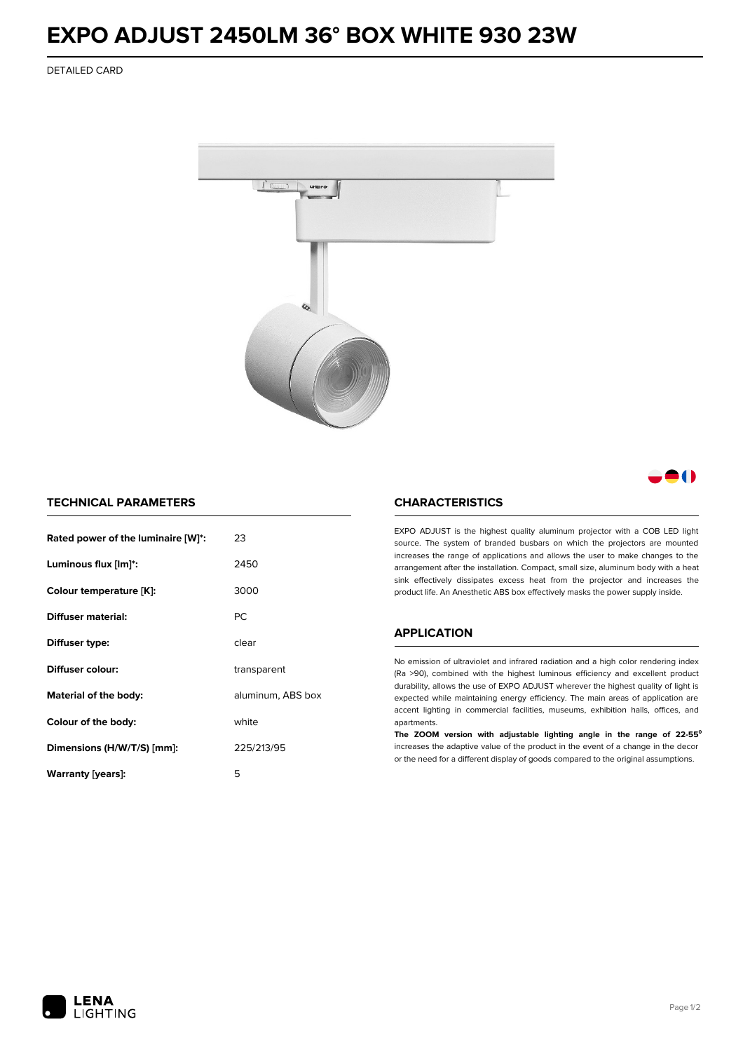# **EXPO ADJUST 2450LM 36° BOX WHITE 930 23W**

DETAILED CARD



# 8 ( )

## **TECHNICAL PARAMETERS**

| Rated power of the luminaire [W]*: | 23                |
|------------------------------------|-------------------|
| Luminous flux [lm]*:               | 2450              |
| Colour temperature [K]:            | 3000              |
| Diffuser material:                 | РC                |
| Diffuser type:                     | clear             |
| Diffuser colour:                   | transparent       |
| Material of the body:              | aluminum, ABS box |
| Colour of the body:                | white             |
| Dimensions (H/W/T/S) [mm]:         | 225/213/95        |
| Warranty [years]:                  | 5                 |

#### **CHARACTERISTICS**

EXPO ADJUST is the highest quality aluminum projector with a COB LED light source. The system of branded busbars on which the projectors are mounted increases the range of applications and allows the user to make changes to the arrangement after the installation. Compact, small size, aluminum body with a heat sink effectively dissipates excess heat from the projector and increases the product life. An Anesthetic ABS box effectively masks the power supply inside.

### **APPLICATION**

No emission of ultraviolet and infrared radiation and a high color rendering index (Ra >90), combined with the highest luminous efficiency and excellent product durability, allows the use of EXPO ADJUST wherever the highest quality of light is expected while maintaining energy efficiency. The main areas of application are accent lighting in commercial facilities, museums, exhibition halls, offices, and apartments.

**The ZOOM version with adjustable lighting angle in the range of 22-55⁰** increases the adaptive value of the product in the event of a change in the decor or the need for a different display of goods compared to the original assumptions.